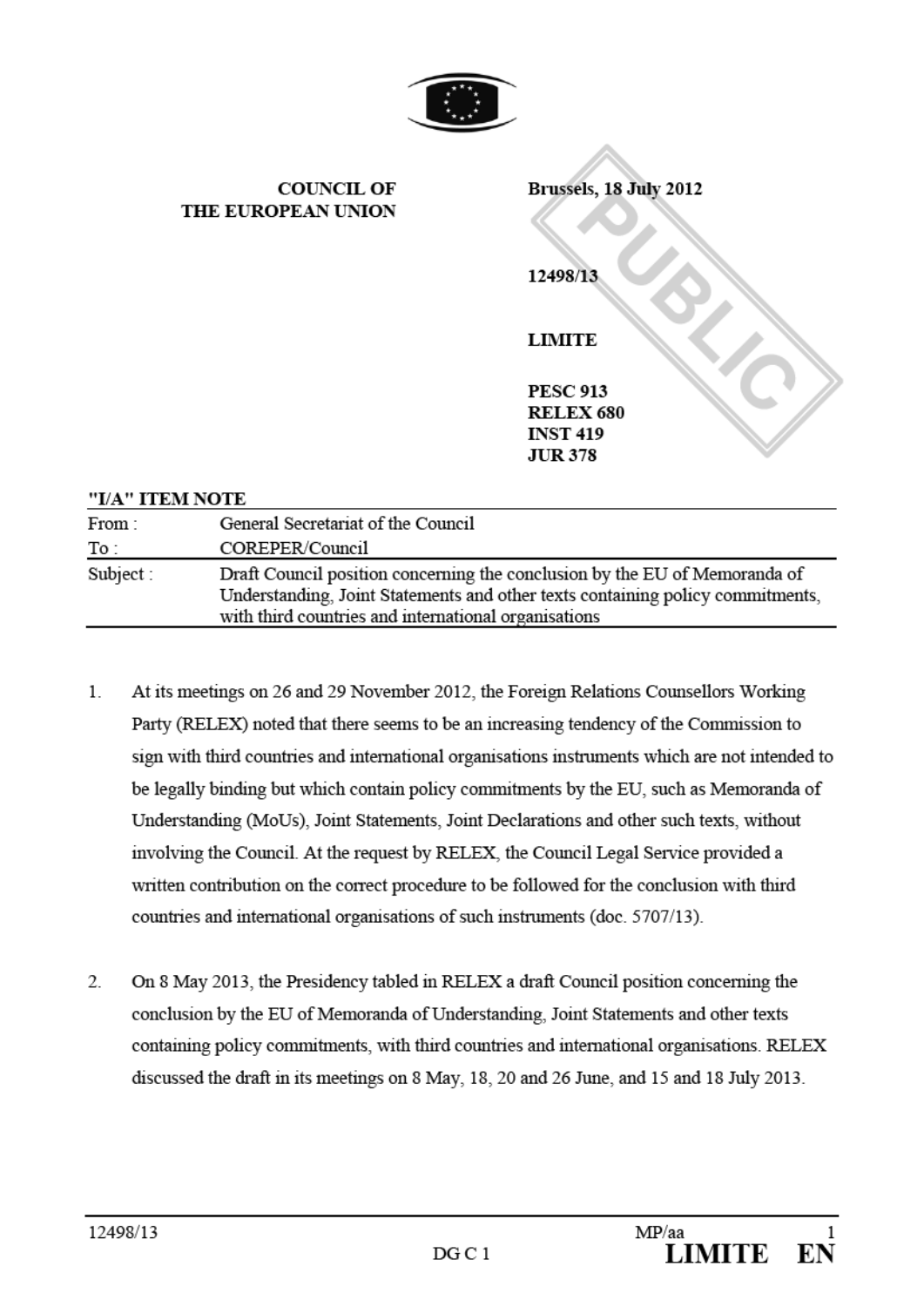

y

|                 | <b>COUNCIL OF</b><br>THE EUROPEAN UNION                                                                                                                                                                              | Brussels, 18 July 2012<br>12498/13                   |
|-----------------|----------------------------------------------------------------------------------------------------------------------------------------------------------------------------------------------------------------------|------------------------------------------------------|
|                 |                                                                                                                                                                                                                      | <b>LIMITE</b><br><b>PESC 913</b><br><b>RELEX 680</b> |
|                 |                                                                                                                                                                                                                      | <b>INST 419</b><br><b>JUR 378</b>                    |
| "I/A" ITEM NOTE |                                                                                                                                                                                                                      |                                                      |
| From:<br>To:    | General Secretariat of the Council<br>COREPER/Council                                                                                                                                                                |                                                      |
| Subject:        | Draft Council position concerning the conclusion by the EU of Memoranda of<br>Understanding, Joint Statements and other texts containing policy commitments,<br>with third countries and international organisations |                                                      |

- 1. At its meetings on 26 and 29 November 2012, the Foreign Relations Counsellors Working Party (RELEX) noted that there seems to be an increasing tendency of the Commission to sign with third countries and international organisations instruments which are not intended to be legally binding but which contain policy commitments by the EU, such as Memoranda of Understanding (MoUs), Joint Statements, Joint Declarations and other such texts, without involving the Council. At the request by RELEX, the Council Legal Service provided a written contribution on the correct procedure to be followed for the conclusion with third countries and international organisations of such instruments (doc. 5707/13).
- $\overline{2}$ On8 May2013, the Presidency tabled in RELEX a draft Council position concerning the conclusion by the EU of Memoranda of Understanding, Joint Statements and other texts containing policy commitments, with third countries and international organisations. RELEX discussed the draft in its meetings on 8 May, 18, 20 and 26 June, and 15 and 18 July 2013.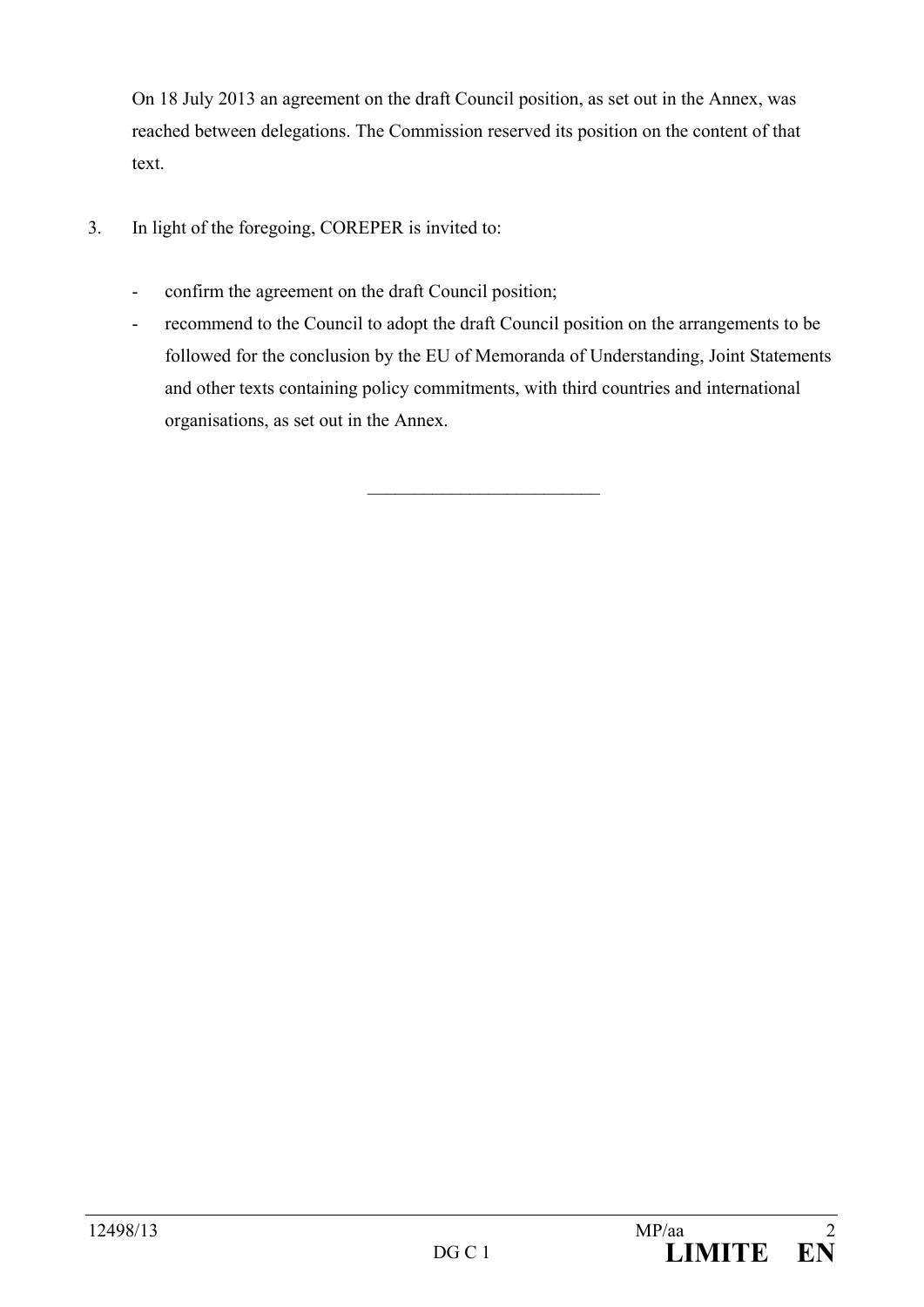On 18 July 2013 an agreement on the draft Council position, as set out in the Annex, was reached between delegations. The Commission reserved its position on the content of that text.

- 3. In light of the foregoing, COREPER is invited to:
	- confirm the agreement on the draft Council position;
	- recommend to the Council to adopt the draft Council position on the arrangements to be followed for the conclusion by the EU of Memoranda of Understanding, Joint Statements and other texts containing policy commitments, with third countries and international organisations, as set out in the Annex.

 $\overline{\phantom{a}}$  , which is a set of the set of the set of the set of the set of the set of the set of the set of the set of the set of the set of the set of the set of the set of the set of the set of the set of the set of th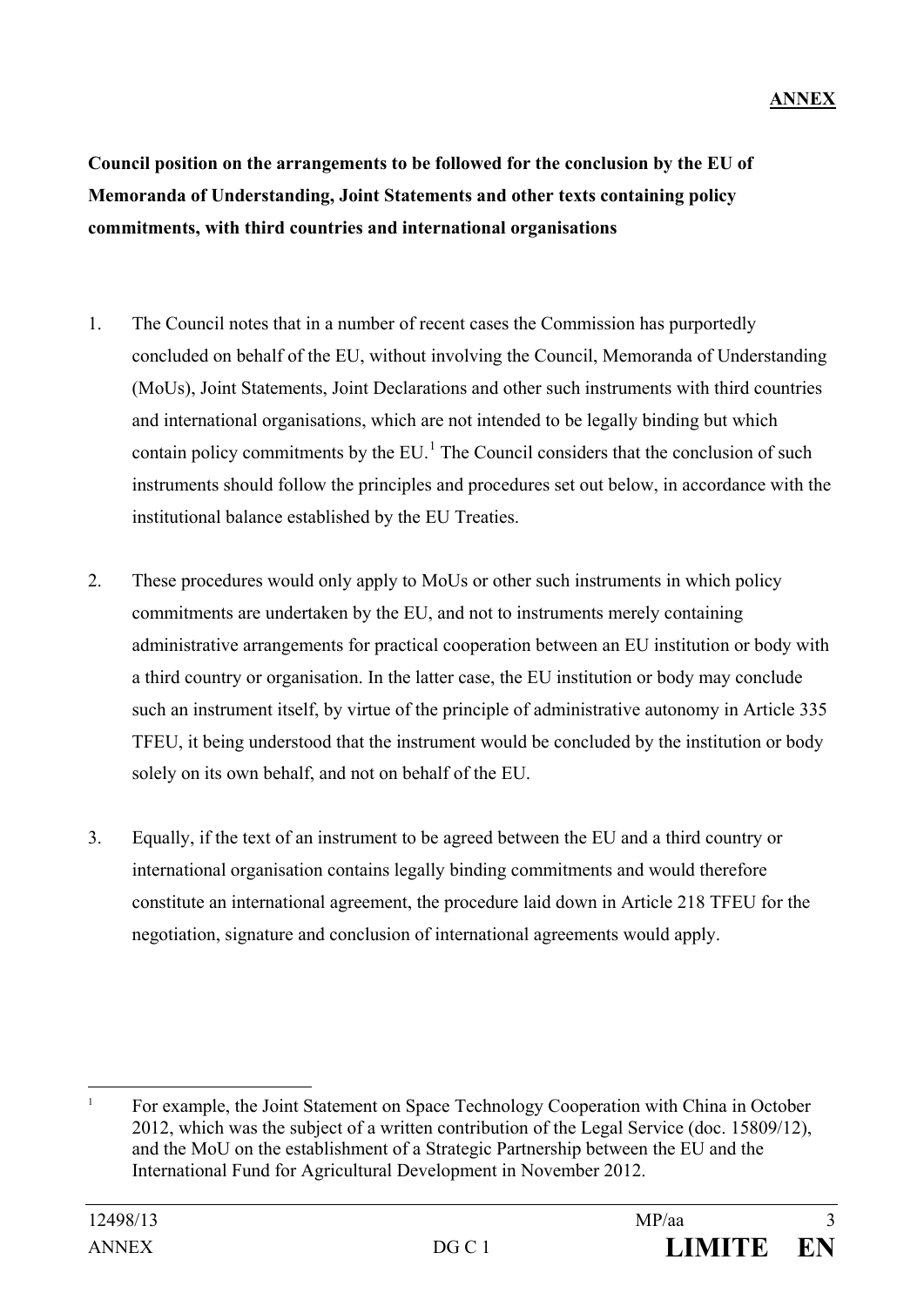**Council position on the arrangements to be followed for the conclusion by the EU of Memoranda of Understanding, Joint Statements and other texts containing policy commitments, with third countries and international organisations**

- 1. The Council notes that in a number of recent cases the Commission has purportedly concluded on behalf of the EU, without involving the Council, Memoranda of Understanding (MoUs), Joint Statements, Joint Declarations and other such instruments with third countries and international organisations, which are not intended to be legally binding but which contain policy commitments by the  $EU<sup>1</sup>$  $EU<sup>1</sup>$  $EU<sup>1</sup>$ . The Council considers that the conclusion of such instruments should follow the principles and procedures set out below, in accordance with the institutional balance established by the EU Treaties.
- 2. These procedures would only apply to MoUs or other such instruments in which policy commitments are undertaken by the EU, and not to instruments merely containing administrative arrangements for practical cooperation between an EU institution or body with a third country or organisation. In the latter case, the EU institution or body may conclude such an instrument itself, by virtue of the principle of administrative autonomy in Article 335 TFEU, it being understood that the instrument would be concluded by the institution or body solely on its own behalf, and not on behalf of the EU.
- 3. Equally, if the text of an instrument to be agreed between the EU and a third country or international organisation contains legally binding commitments and would therefore constitute an international agreement, the procedure laid down in Article 218 TFEU for the negotiation, signature and conclusion of international agreements would apply.

<span id="page-2-0"></span><sup>&</sup>lt;sup>1</sup> For example, the Joint Statement on Space Technology Cooperation with China in October 2012, which was the subject of a written contribution of the Legal Service (doc. 15809/12), and the MoU on the establishment of a Strategic Partnership between the EU and the International Fund for Agricultural Development in November 2012.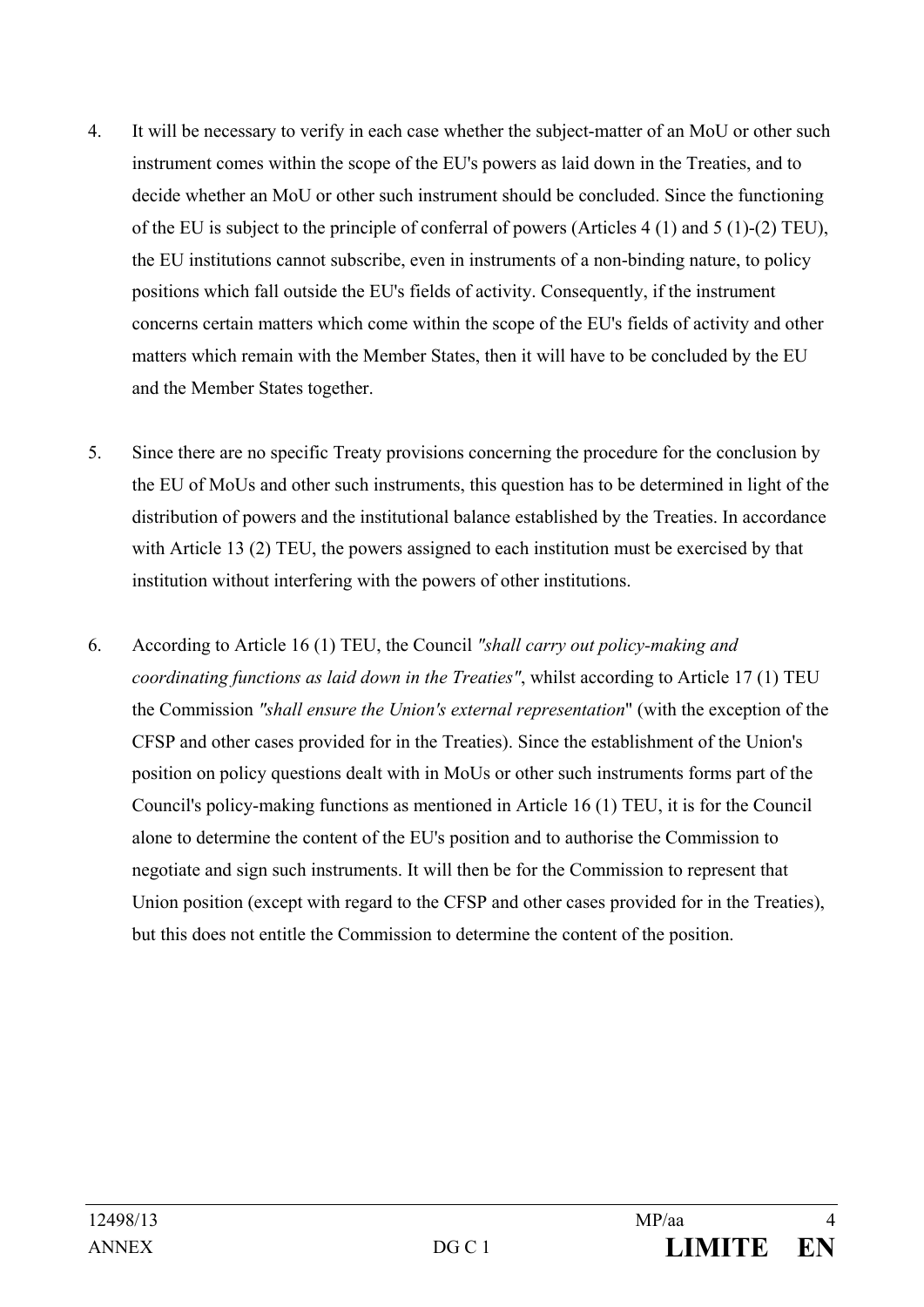- 4. It will be necessary to verify in each case whether the subject-matter of an MoU or other such instrument comes within the scope of the EU's powers as laid down in the Treaties, and to decide whether an MoU or other such instrument should be concluded. Since the functioning of the EU is subject to the principle of conferral of powers (Articles 4 (1) and 5 (1)-(2) TEU), the EU institutions cannot subscribe, even in instruments of a non-binding nature, to policy positions which fall outside the EU's fields of activity. Consequently, if the instrument concerns certain matters which come within the scope of the EU's fields of activity and other matters which remain with the Member States, then it will have to be concluded by the EU and the Member States together.
- 5. Since there are no specific Treaty provisions concerning the procedure for the conclusion by the EU of MoUs and other such instruments, this question has to be determined in light of the distribution of powers and the institutional balance established by the Treaties. In accordance with Article 13 (2) TEU, the powers assigned to each institution must be exercised by that institution without interfering with the powers of other institutions.
- 6. According to Article 16 (1) TEU, the Council *"shall carry out policy-making and coordinating functions as laid down in the Treaties"*, whilst according to Article 17 (1) TEU the Commission *"shall ensure the Union's external representation*" (with the exception of the CFSP and other cases provided for in the Treaties). Since the establishment of the Union's position on policy questions dealt with in MoUs or other such instruments forms part of the Council's policy-making functions as mentioned in Article 16 (1) TEU, it is for the Council alone to determine the content of the EU's position and to authorise the Commission to negotiate and sign such instruments. It will then be for the Commission to represent that Union position (except with regard to the CFSP and other cases provided for in the Treaties), but this does not entitle the Commission to determine the content of the position.